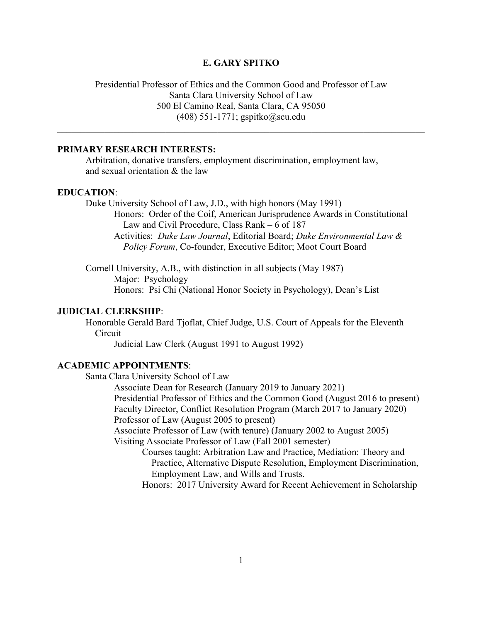## **E. GARY SPITKO**

# Presidential Professor of Ethics and the Common Good and Professor of Law Santa Clara University School of Law 500 El Camino Real, Santa Clara, CA 95050 (408) 551-1771; gspitko@scu.edu

 $\_$  , and the contribution of the contribution of the contribution of the contribution of  $\mathcal{L}_\text{max}$ 

## **PRIMARY RESEARCH INTERESTS:**

Arbitration, donative transfers, employment discrimination, employment law, and sexual orientation & the law

#### **EDUCATION**:

Duke University School of Law, J.D., with high honors (May 1991) Honors: Order of the Coif, American Jurisprudence Awards in Constitutional Law and Civil Procedure, Class Rank – 6 of 187 Activities: *Duke Law Journal*, Editorial Board; *Duke Environmental Law & Policy Forum*, Co-founder, Executive Editor; Moot Court Board

Cornell University, A.B., with distinction in all subjects (May 1987) Major: Psychology Honors: Psi Chi (National Honor Society in Psychology), Dean's List

# **JUDICIAL CLERKSHIP**:

Honorable Gerald Bard Tjoflat, Chief Judge, U.S. Court of Appeals for the Eleventh Circuit

Judicial Law Clerk (August 1991 to August 1992)

## **ACADEMIC APPOINTMENTS**:

Santa Clara University School of Law

Associate Dean for Research (January 2019 to January 2021) Presidential Professor of Ethics and the Common Good (August 2016 to present) Faculty Director, Conflict Resolution Program (March 2017 to January 2020) Professor of Law (August 2005 to present)

Associate Professor of Law (with tenure) (January 2002 to August 2005) Visiting Associate Professor of Law (Fall 2001 semester)

Courses taught: Arbitration Law and Practice, Mediation: Theory and Practice, Alternative Dispute Resolution, Employment Discrimination, Employment Law, and Wills and Trusts.

Honors: 2017 University Award for Recent Achievement in Scholarship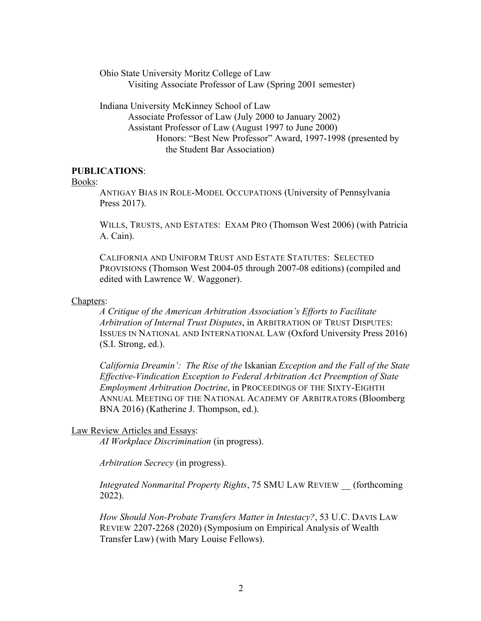Ohio State University Moritz College of Law Visiting Associate Professor of Law (Spring 2001 semester)

Indiana University McKinney School of Law Associate Professor of Law (July 2000 to January 2002) Assistant Professor of Law (August 1997 to June 2000) Honors: "Best New Professor" Award, 1997-1998 (presented by the Student Bar Association)

## **PUBLICATIONS**:

#### Books:

ANTIGAY BIAS IN ROLE-MODEL OCCUPATIONS (University of Pennsylvania Press 2017).

WILLS, TRUSTS, AND ESTATES: EXAM PRO (Thomson West 2006) (with Patricia A. Cain).

CALIFORNIA AND UNIFORM TRUST AND ESTATE STATUTES: SELECTED PROVISIONS (Thomson West 2004-05 through 2007-08 editions) (compiled and edited with Lawrence W. Waggoner).

#### Chapters:

*A Critique of the American Arbitration Association's Efforts to Facilitate Arbitration of Internal Trust Disputes*, in ARBITRATION OF TRUST DISPUTES: ISSUES IN NATIONAL AND INTERNATIONAL LAW (Oxford University Press 2016) (S.I. Strong, ed.).

*California Dreamin': The Rise of the* Iskanian *Exception and the Fall of the State Effective-Vindication Exception to Federal Arbitration Act Preemption of State Employment Arbitration Doctrine*, in PROCEEDINGS OF THE SIXTY-EIGHTH ANNUAL MEETING OF THE NATIONAL ACADEMY OF ARBITRATORS (Bloomberg BNA 2016) (Katherine J. Thompson, ed.).

### Law Review Articles and Essays:

*AI Workplace Discrimination* (in progress).

*Arbitration Secrecy* (in progress).

*Integrated Nonmarital Property Rights*, 75 SMU LAW REVIEW \_\_ (forthcoming 2022).

*How Should Non-Probate Transfers Matter in Intestacy?*, 53 U.C. DAVIS LAW REVIEW 2207-2268 (2020) (Symposium on Empirical Analysis of Wealth Transfer Law) (with Mary Louise Fellows).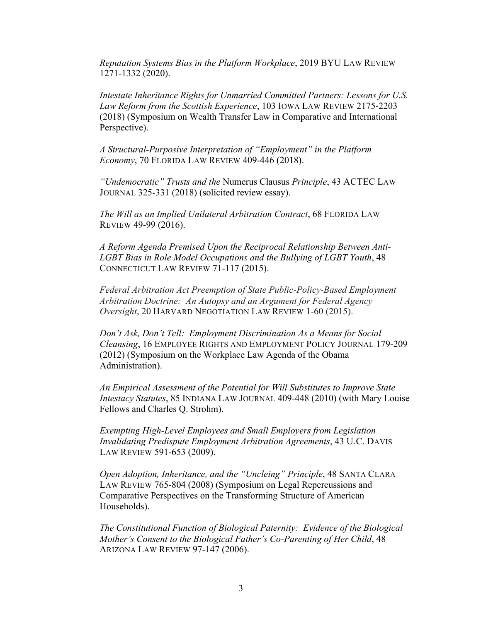*Reputation Systems Bias in the Platform Workplace*, 2019 BYU LAW REVIEW 1271-1332 (2020).

*Intestate Inheritance Rights for Unmarried Committed Partners: Lessons for U.S. Law Reform from the Scottish Experience*, 103 IOWA LAW REVIEW 2175-2203 (2018) (Symposium on Wealth Transfer Law in Comparative and International Perspective).

*A Structural-Purposive Interpretation of "Employment" in the Platform Economy*, 70 FLORIDA LAW REVIEW 409-446 (2018).

*"Undemocratic" Trusts and the* Numerus Clausus *Principle*, 43 ACTEC LAW JOURNAL 325-331 (2018) (solicited review essay).

*The Will as an Implied Unilateral Arbitration Contract*, 68 FLORIDA LAW REVIEW 49-99 (2016).

*A Reform Agenda Premised Upon the Reciprocal Relationship Between Anti-LGBT Bias in Role Model Occupations and the Bullying of LGBT Youth*, 48 CONNECTICUT LAW REVIEW 71-117 (2015).

*Federal Arbitration Act Preemption of State Public-Policy-Based Employment Arbitration Doctrine: An Autopsy and an Argument for Federal Agency Oversight*, 20 HARVARD NEGOTIATION LAW REVIEW 1-60 (2015).

*Don't Ask, Don't Tell: Employment Discrimination As a Means for Social Cleansing*, 16 EMPLOYEE RIGHTS AND EMPLOYMENT POLICY JOURNAL 179-209 (2012) (Symposium on the Workplace Law Agenda of the Obama Administration).

*An Empirical Assessment of the Potential for Will Substitutes to Improve State Intestacy Statutes*, 85 INDIANA LAW JOURNAL 409-448 (2010) (with Mary Louise Fellows and Charles Q. Strohm).

*Exempting High-Level Employees and Small Employers from Legislation Invalidating Predispute Employment Arbitration Agreements*, 43 U.C. DAVIS LAW REVIEW 591-653 (2009).

*Open Adoption, Inheritance, and the "Uncleing" Principle*, 48 SANTA CLARA LAW REVIEW 765-804 (2008) (Symposium on Legal Repercussions and Comparative Perspectives on the Transforming Structure of American Households).

*The Constitutional Function of Biological Paternity: Evidence of the Biological Mother's Consent to the Biological Father's Co-Parenting of Her Child*, 48 ARIZONA LAW REVIEW 97-147 (2006).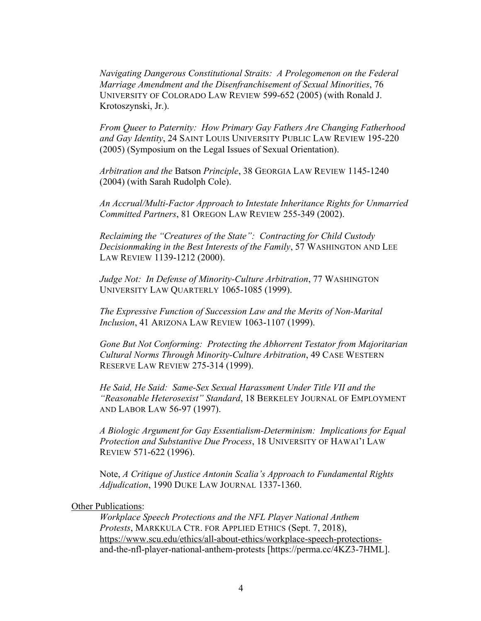*Navigating Dangerous Constitutional Straits: A Prolegomenon on the Federal Marriage Amendment and the Disenfranchisement of Sexual Minorities*, 76 UNIVERSITY OF COLORADO LAW REVIEW 599-652 (2005) (with Ronald J. Krotoszynski, Jr.).

*From Queer to Paternity: How Primary Gay Fathers Are Changing Fatherhood and Gay Identity*, 24 SAINT LOUIS UNIVERSITY PUBLIC LAW REVIEW 195-220 (2005) (Symposium on the Legal Issues of Sexual Orientation).

*Arbitration and the* Batson *Principle*, 38 GEORGIA LAW REVIEW 1145-1240 (2004) (with Sarah Rudolph Cole).

*An Accrual/Multi-Factor Approach to Intestate Inheritance Rights for Unmarried Committed Partners*, 81 OREGON LAW REVIEW 255-349 (2002).

*Reclaiming the "Creatures of the State": Contracting for Child Custody Decisionmaking in the Best Interests of the Family*, 57 WASHINGTON AND LEE LAW REVIEW 1139-1212 (2000).

*Judge Not: In Defense of Minority-Culture Arbitration*, 77 WASHINGTON UNIVERSITY LAW QUARTERLY 1065-1085 (1999).

*The Expressive Function of Succession Law and the Merits of Non-Marital Inclusion*, 41 ARIZONA LAW REVIEW 1063-1107 (1999).

*Gone But Not Conforming: Protecting the Abhorrent Testator from Majoritarian Cultural Norms Through Minority-Culture Arbitration*, 49 CASE WESTERN RESERVE LAW REVIEW 275-314 (1999).

*He Said, He Said: Same-Sex Sexual Harassment Under Title VII and the "Reasonable Heterosexist" Standard*, 18 BERKELEY JOURNAL OF EMPLOYMENT AND LABOR LAW 56-97 (1997).

*A Biologic Argument for Gay Essentialism-Determinism: Implications for Equal Protection and Substantive Due Process*, 18 UNIVERSITY OF HAWAI'I LAW REVIEW 571-622 (1996).

Note, *A Critique of Justice Antonin Scalia's Approach to Fundamental Rights Adjudication*, 1990 DUKE LAW JOURNAL 1337-1360.

## Other Publications:

*Workplace Speech Protections and the NFL Player National Anthem Protests*, MARKKULA CTR. FOR APPLIED ETHICS (Sept. 7, 2018), https://www.scu.edu/ethics/all-about-ethics/workplace-speech-protectionsand-the-nfl-player-national-anthem-protests [https://perma.cc/4KZ3-7HML].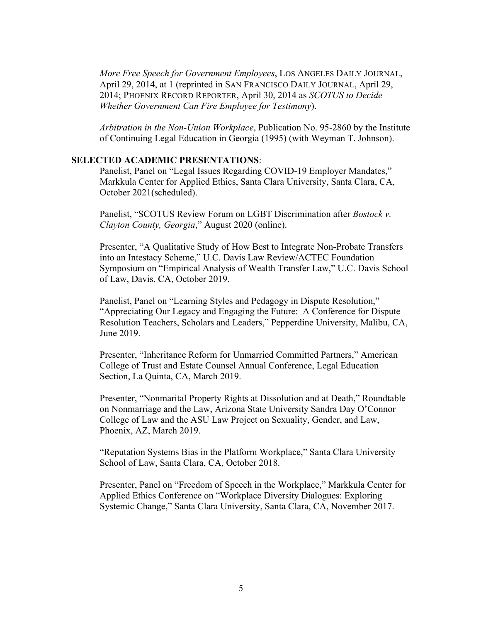*More Free Speech for Government Employees*, LOS ANGELES DAILY JOURNAL, April 29, 2014, at 1 (reprinted in SAN FRANCISCO DAILY JOURNAL, April 29, 2014; PHOENIX RECORD REPORTER, April 30, 2014 as *SCOTUS to Decide Whether Government Can Fire Employee for Testimony*).

*Arbitration in the Non-Union Workplace*, Publication No. 95-2860 by the Institute of Continuing Legal Education in Georgia (1995) (with Weyman T. Johnson).

### **SELECTED ACADEMIC PRESENTATIONS**:

Panelist, Panel on "Legal Issues Regarding COVID-19 Employer Mandates," Markkula Center for Applied Ethics, Santa Clara University, Santa Clara, CA, October 2021(scheduled).

Panelist, "SCOTUS Review Forum on LGBT Discrimination after *Bostock v. Clayton County, Georgia*," August 2020 (online).

Presenter, "A Qualitative Study of How Best to Integrate Non-Probate Transfers into an Intestacy Scheme," U.C. Davis Law Review/ACTEC Foundation Symposium on "Empirical Analysis of Wealth Transfer Law," U.C. Davis School of Law, Davis, CA, October 2019.

Panelist, Panel on "Learning Styles and Pedagogy in Dispute Resolution," "Appreciating Our Legacy and Engaging the Future: A Conference for Dispute Resolution Teachers, Scholars and Leaders," Pepperdine University, Malibu, CA, June 2019.

Presenter, "Inheritance Reform for Unmarried Committed Partners," American College of Trust and Estate Counsel Annual Conference, Legal Education Section, La Quinta, CA, March 2019.

Presenter, "Nonmarital Property Rights at Dissolution and at Death," Roundtable on Nonmarriage and the Law, Arizona State University Sandra Day O'Connor College of Law and the ASU Law Project on Sexuality, Gender, and Law, Phoenix, AZ, March 2019.

"Reputation Systems Bias in the Platform Workplace," Santa Clara University School of Law, Santa Clara, CA, October 2018.

Presenter, Panel on "Freedom of Speech in the Workplace," Markkula Center for Applied Ethics Conference on "Workplace Diversity Dialogues: Exploring Systemic Change," Santa Clara University, Santa Clara, CA, November 2017.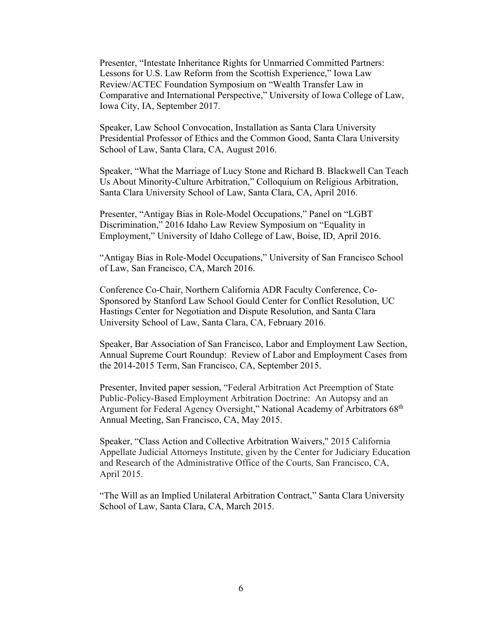Presenter, "Intestate Inheritance Rights for Unmarried Committed Partners: Lessons for U.S. Law Reform from the Scottish Experience," Iowa Law Review/ACTEC Foundation Symposium on "Wealth Transfer Law in Comparative and International Perspective," University of Iowa College of Law, Iowa City, IA, September 2017.

Speaker, Law School Convocation, Installation as Santa Clara University Presidential Professor of Ethics and the Common Good, Santa Clara University School of Law, Santa Clara, CA, August 2016.

Speaker, "What the Marriage of Lucy Stone and Richard B. Blackwell Can Teach Us About Minority-Culture Arbitration," Colloquium on Religious Arbitration, Santa Clara University School of Law, Santa Clara, CA, April 2016.

Presenter, "Antigay Bias in Role-Model Occupations," Panel on "LGBT Discrimination," 2016 Idaho Law Review Symposium on "Equality in Employment," University of Idaho College of Law, Boise, ID, April 2016.

"Antigay Bias in Role-Model Occupations," University of San Francisco School of Law, San Francisco, CA, March 2016.

Conference Co-Chair, Northern California ADR Faculty Conference, Co-Sponsored by Stanford Law School Gould Center for Conflict Resolution, UC Hastings Center for Negotiation and Dispute Resolution, and Santa Clara University School of Law, Santa Clara, CA, February 2016.

Speaker, Bar Association of San Francisco, Labor and Employment Law Section, Annual Supreme Court Roundup: Review of Labor and Employment Cases from the 2014-2015 Term, San Francisco, CA, September 2015.

Presenter, Invited paper session, "Federal Arbitration Act Preemption of State Public-Policy-Based Employment Arbitration Doctrine: An Autopsy and an Argument for Federal Agency Oversight," National Academy of Arbitrators 68<sup>th</sup> Annual Meeting, San Francisco, CA, May 2015.

Speaker, "Class Action and Collective Arbitration Waivers," 2015 California Appellate Judicial Attorneys Institute, given by the Center for Judiciary Education and Research of the Administrative Office of the Courts, San Francisco, CA, April 2015.

"The Will as an Implied Unilateral Arbitration Contract," Santa Clara University School of Law, Santa Clara, CA, March 2015.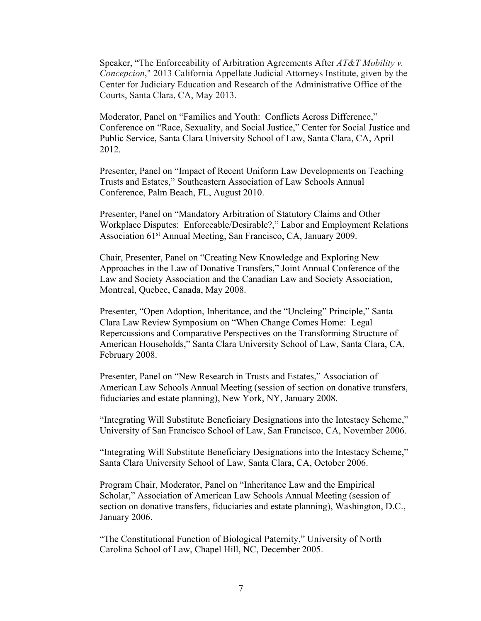Speaker, "The Enforceability of Arbitration Agreements After *AT&T Mobility v. Concepcion*," 2013 California Appellate Judicial Attorneys Institute, given by the Center for Judiciary Education and Research of the Administrative Office of the Courts, Santa Clara, CA, May 2013.

Moderator, Panel on "Families and Youth: Conflicts Across Difference," Conference on "Race, Sexuality, and Social Justice," Center for Social Justice and Public Service, Santa Clara University School of Law, Santa Clara, CA, April 2012.

Presenter, Panel on "Impact of Recent Uniform Law Developments on Teaching Trusts and Estates," Southeastern Association of Law Schools Annual Conference, Palm Beach, FL, August 2010.

Presenter, Panel on "Mandatory Arbitration of Statutory Claims and Other Workplace Disputes: Enforceable/Desirable?," Labor and Employment Relations Association 61<sup>st</sup> Annual Meeting, San Francisco, CA, January 2009.

Chair, Presenter, Panel on "Creating New Knowledge and Exploring New Approaches in the Law of Donative Transfers," Joint Annual Conference of the Law and Society Association and the Canadian Law and Society Association, Montreal, Quebec, Canada, May 2008.

Presenter, "Open Adoption, Inheritance, and the "Uncleing" Principle," Santa Clara Law Review Symposium on "When Change Comes Home: Legal Repercussions and Comparative Perspectives on the Transforming Structure of American Households," Santa Clara University School of Law, Santa Clara, CA, February 2008.

Presenter, Panel on "New Research in Trusts and Estates," Association of American Law Schools Annual Meeting (session of section on donative transfers, fiduciaries and estate planning), New York, NY, January 2008.

"Integrating Will Substitute Beneficiary Designations into the Intestacy Scheme," University of San Francisco School of Law, San Francisco, CA, November 2006.

"Integrating Will Substitute Beneficiary Designations into the Intestacy Scheme," Santa Clara University School of Law, Santa Clara, CA, October 2006.

Program Chair, Moderator, Panel on "Inheritance Law and the Empirical Scholar," Association of American Law Schools Annual Meeting (session of section on donative transfers, fiduciaries and estate planning), Washington, D.C., January 2006.

"The Constitutional Function of Biological Paternity," University of North Carolina School of Law, Chapel Hill, NC, December 2005.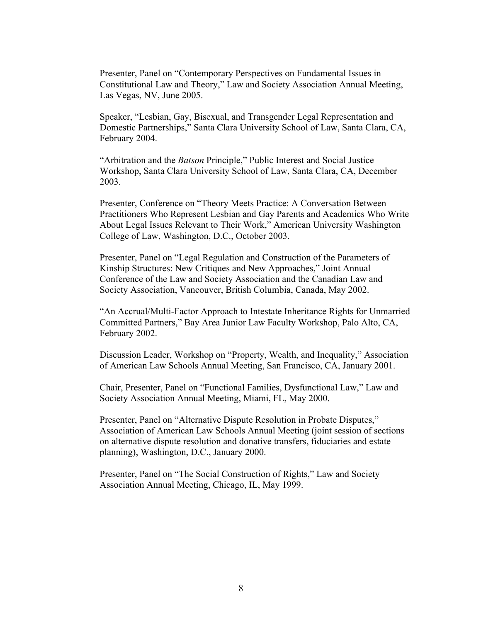Presenter, Panel on "Contemporary Perspectives on Fundamental Issues in Constitutional Law and Theory," Law and Society Association Annual Meeting, Las Vegas, NV, June 2005.

Speaker, "Lesbian, Gay, Bisexual, and Transgender Legal Representation and Domestic Partnerships," Santa Clara University School of Law, Santa Clara, CA, February 2004.

"Arbitration and the *Batson* Principle," Public Interest and Social Justice Workshop, Santa Clara University School of Law, Santa Clara, CA, December 2003.

Presenter, Conference on "Theory Meets Practice: A Conversation Between Practitioners Who Represent Lesbian and Gay Parents and Academics Who Write About Legal Issues Relevant to Their Work," American University Washington College of Law, Washington, D.C., October 2003.

Presenter, Panel on "Legal Regulation and Construction of the Parameters of Kinship Structures: New Critiques and New Approaches," Joint Annual Conference of the Law and Society Association and the Canadian Law and Society Association, Vancouver, British Columbia, Canada, May 2002.

"An Accrual/Multi-Factor Approach to Intestate Inheritance Rights for Unmarried Committed Partners," Bay Area Junior Law Faculty Workshop, Palo Alto, CA, February 2002.

Discussion Leader, Workshop on "Property, Wealth, and Inequality," Association of American Law Schools Annual Meeting, San Francisco, CA, January 2001.

Chair, Presenter, Panel on "Functional Families, Dysfunctional Law," Law and Society Association Annual Meeting, Miami, FL, May 2000.

Presenter, Panel on "Alternative Dispute Resolution in Probate Disputes," Association of American Law Schools Annual Meeting (joint session of sections on alternative dispute resolution and donative transfers, fiduciaries and estate planning), Washington, D.C., January 2000.

Presenter, Panel on "The Social Construction of Rights," Law and Society Association Annual Meeting, Chicago, IL, May 1999.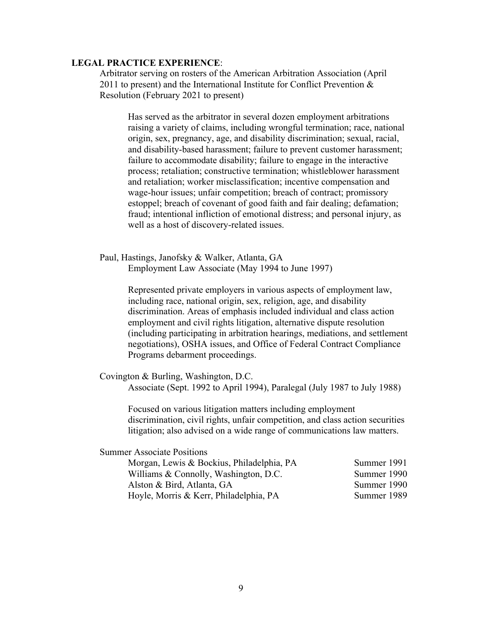### **LEGAL PRACTICE EXPERIENCE**:

Arbitrator serving on rosters of the American Arbitration Association (April 2011 to present) and the International Institute for Conflict Prevention  $\&$ Resolution (February 2021 to present)

Has served as the arbitrator in several dozen employment arbitrations raising a variety of claims, including wrongful termination; race, national origin, sex, pregnancy, age, and disability discrimination; sexual, racial, and disability-based harassment; failure to prevent customer harassment; failure to accommodate disability; failure to engage in the interactive process; retaliation; constructive termination; whistleblower harassment and retaliation; worker misclassification; incentive compensation and wage-hour issues; unfair competition; breach of contract; promissory estoppel; breach of covenant of good faith and fair dealing; defamation; fraud; intentional infliction of emotional distress; and personal injury, as well as a host of discovery-related issues.

Paul, Hastings, Janofsky & Walker, Atlanta, GA Employment Law Associate (May 1994 to June 1997)

> Represented private employers in various aspects of employment law, including race, national origin, sex, religion, age, and disability discrimination. Areas of emphasis included individual and class action employment and civil rights litigation, alternative dispute resolution (including participating in arbitration hearings, mediations, and settlement negotiations), OSHA issues, and Office of Federal Contract Compliance Programs debarment proceedings.

Covington & Burling, Washington, D.C.

Associate (Sept. 1992 to April 1994), Paralegal (July 1987 to July 1988)

Focused on various litigation matters including employment discrimination, civil rights, unfair competition, and class action securities litigation; also advised on a wide range of communications law matters.

Summer Associate Positions

| Morgan, Lewis & Bockius, Philadelphia, PA | Summer 1991 |
|-------------------------------------------|-------------|
| Williams & Connolly, Washington, D.C.     | Summer 1990 |
| Alston & Bird, Atlanta, GA                | Summer 1990 |
| Hoyle, Morris & Kerr, Philadelphia, PA    | Summer 1989 |